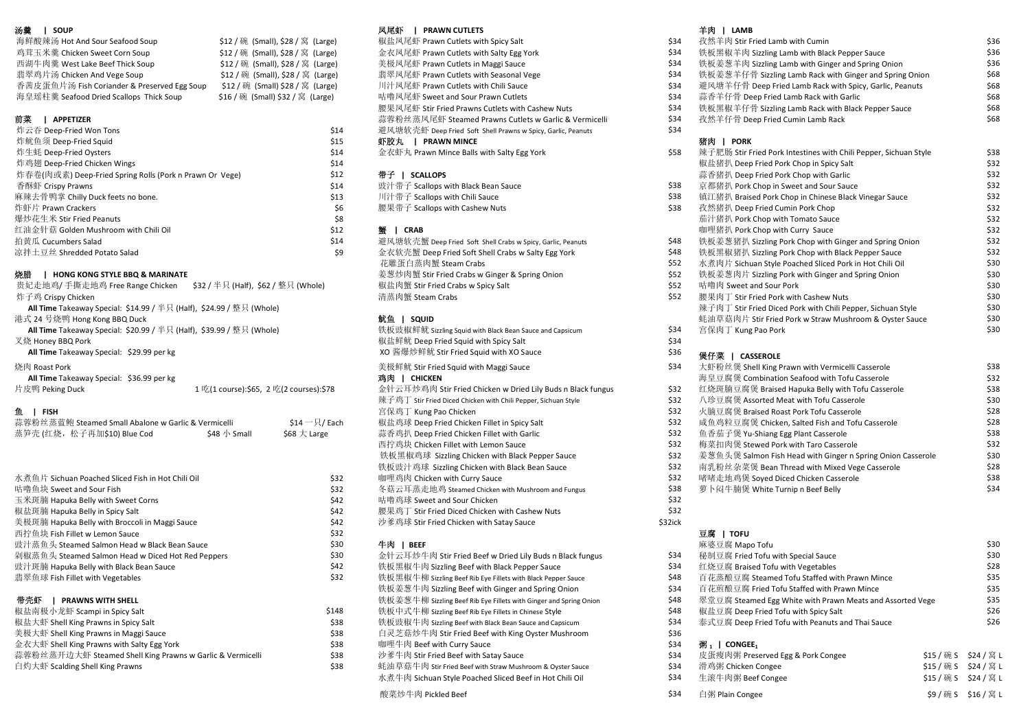| 海鲜酸辣汤 Hot And Sour Seafood Soup             | \$12 / 碗 (Small), \$28 / 窝   |
|---------------------------------------------|------------------------------|
| 鸡茸玉米羹 Chicken Sweet Corn Soup               | \$12 / 碗 (Small), \$28 / 窝   |
| 西湖牛肉羹 West Lake Beef Thick Soup             | \$12 / 碗 (Small), \$28 / 窝   |
| 翡翠鸡片汤 Chicken And Vege Soup                 | \$12 / 碗 (Small), \$28 / 窝   |
| 香茜皮蛋鱼片汤 Fish Coriander & Preserved Egg Soup | \$12 / 碗 (Small) \$28 / 窝    |
| 海皇瑶柱羹 Seafood Dried Scallops Thick Soup     | \$16 / 碗 (Small) \$32 / 窝 (I |

|                                                         |      |                                                              |      | . |
|---------------------------------------------------------|------|--------------------------------------------------------------|------|---|
| 炸云吞 Deep-Fried Won Tons                                 | \$14 | 避风塘软壳虾 Deep Fried Soft Shell Prawns w Spicy, Garlic, Peanuts | \$34 |   |
| 炸鱿鱼须 Deep-Fried Squid                                   | \$15 | 虾胶丸<br><b>PRAWN MINCE</b>                                    |      | 猪 |
| 炸生蚝 Deep-Fried Oysters                                  | \$14 | 金衣虾丸 Prawn Mince Balls with Salty Egg York                   | \$58 | 辣 |
| 炸鸡翅 Deep-Fried Chicken Wings                            | \$14 |                                                              |      | 椒 |
| 炸春卷(肉或素) Deep-Fried Spring Rolls (Pork n Prawn Or Vege) | \$12 | 带子<br><b>SCALLOPS</b>                                        |      | 蒜 |
| 香酥虾 Crispy Prawns                                       | \$14 | 豉汁带子 Scallops with Black Bean Sauce                          | \$38 | 京 |
| 麻辣去骨鸭掌 Chilly Duck feets no bone.                       | \$13 | 川汁带子 Scallops with Chili Sauce                               | \$38 | 镇 |
| 炸虾片 Prawn Crackers                                      | \$6  | 腰果带子 Scallops with Cashew Nuts                               | \$38 | 孜 |
| 爆炒花生米 Stir Fried Peanuts                                | \$8  |                                                              |      | 茄 |
| 红油金针菇 Golden Mushroom with Chili Oil                    | \$12 | <b>CRAB</b>                                                  |      | 咖 |
| 拍黄瓜 Cucumbers Salad                                     | \$14 | 避风塘软壳蟹 Deep Fried Soft Shell Crabs w Spicy, Garlic, Peanuts  | \$48 | 铁 |
| 凉拌土豆丝 Shredded Potato Salad                             | Ś9   | 金衣软壳蟹 Deep Fried Soft Shell Crabs w Salty Egg York           | \$48 | 铁 |
|                                                         |      |                                                              |      |   |

| 贵妃走地鸡/手撕走地鸡 Free Range Chicken<br>\$32 / 半只 (Half), \$62 / 整只 (Whole)       | 椒盐肉蟹 Stir Fried Crabs w Spicy Salt                       | \$52 | 咕噜肉 Sweet and Sour      |
|-----------------------------------------------------------------------------|----------------------------------------------------------|------|-------------------------|
| 炸子鸡 Crispy Chicken                                                          | 清蒸肉蟹 Steam Crabs                                         | \$52 | 腰果肉丁 Stir Fried Porl    |
| <b>All Time</b> Takeaway Special: \$14.99 / 半只 (Half), \$24.99 / 整只 (Whole) |                                                          |      | 辣子肉丁 Stir Fried Dice    |
| 港式 24 号烧鸭 Hong Kong BBQ Duck                                                | 鱿鱼<br>souid                                              |      | 蚝油草菇肉片 Stir Fried       |
| <b>All Time</b> Takeaway Special: \$20.99 / 半只 (Half), \$39.99 / 整只 (Whole) | 铁板豉椒鲜鱿 Sizzling Squid with Black Bean Sauce and Capsicum | \$34 | 宫保肉丁 Kung Pao Por       |
| 叉烧 Honey BBQ Pork                                                           | 椒盐鲜鱿 Deep Fried Squid with Spicy Salt                    | \$34 |                         |
| All Time Takeaway Special: \$29.99 per kg                                   | XO 酱爆炒鲜鱿 Stir Fried Squid with XO Sauce                  | \$36 | 煲仔菜<br><b>CASSEROLE</b> |
| 烧肉 Roast Pork                                                               | 美极鲜鱿 Stir Fried Sauid with Maggi Sauce                   | \$34 | 大虾粉丝煲 Shell King F      |

| 片皮鸭 Peking Duck |  |  |
|-----------------|--|--|

| 蒜蓉粉丝蒸蓝鲍 Steamed Small Abalone w Garlic & Vermicelli |                                    | \$14 一 只 / Each | 椒盐鸡球 Deep Fried Chicken Fillet in Spicy Salt | \$32  咸鱼鸡粒豆腐煲 Chicken, Salted Fish and Tofu Casserole |  |
|-----------------------------------------------------|------------------------------------|-----------------|----------------------------------------------|-------------------------------------------------------|--|
| 蒸笋壳(红烧,松子再加\$10) Blue Cod                           | \$48 小 Small $\qquad$ \$68 大 Large |                 | - 蒜香鸡扒 Deep Fried Chicken Fillet with Garlic | \$32  鱼香茄子煲 Yu-Shiang Egg Plant Casserole             |  |

| 水煮鱼片 Sichuan Poached Sliced Fish in Hot Chili Oil | \$32 | 咖哩鸡肉 Chicken with Curry Sauce                                | \$32    | 啫啫走地鸡煲              |
|---------------------------------------------------|------|--------------------------------------------------------------|---------|---------------------|
| 咕噜鱼块 Sweet and Sour Fish                          | \$32 | 冬菇云耳蒸走地鸡 Steamed Chicken with Mushroom and Fungus            | \$38    | 萝卜闷牛腩煲              |
| 玉米斑腩 Hapuka Belly with Sweet Corns                | \$42 | 咕噜鸡球 Sweet and Sour Chicken                                  | \$32    |                     |
| 椒盐斑腩 Hapuka Belly in Spicy Salt                   | \$42 | 腰果鸡丁 Stir Fried Diced Chicken with Cashew Nuts               | \$32    |                     |
| 美极斑腩 Hapuka Belly with Broccoli in Maggi Sauce    | \$42 | 沙爹鸡球 Stir Fried Chicken with Satay Sauce                     | \$32ick |                     |
| 西拧鱼块 Fish Fillet w Lemon Sauce                    | \$32 |                                                              |         | 豆腐<br><b>I TOFU</b> |
| 豉汁蒸鱼头 Steamed Salmon Head w Black Bean Sauce      | \$30 | 牛肉 I BEEF                                                    |         | 麻婆豆腐 Map            |
| 剁椒蒸鱼头 Steamed Salmon Head w Diced Hot Red Peppers | \$30 | 金针云耳炒牛肉 Stir Fried Beef w Dried Lily Buds n Black fungus     | \$34    | 秘制豆腐 Fried          |
| 豉汁斑腩 Hapuka Belly with Black Bean Sauce           | \$42 | 铁板黑椒牛肉 Sizzling Beef with Black Pepper Sauce                 | \$34    | 红烧豆腐 Brais          |
| 翡翠鱼球 Fish Fillet with Vegetables                  | \$32 | 铁板黑椒牛柳 Sizzling Beef Rib Eye Fillets with Black Pepper Sauce | \$48    | 百花蒸酿豆腐              |
|                                                   |      | 牲板美葱生肉 Sizzling Beef with Ginger and Spring Onion            | ≮੨⊿     | 百龙前酿豆庭              |

| \$148 | 铁板中式牛柳 Sizzling Beef Rib Eye Fillets in Chinese Style     | S48  | 椒盐豆腐 Deep F            |
|-------|-----------------------------------------------------------|------|------------------------|
| \$38  | 铁板豉椒牛肉 Sizzling Beef with Black Bean Sauce and Capsicum   | \$34 | 泰式豆腐 Deep F            |
| \$38  | 白灵芝菇炒牛肉 Stir Fried Beef with King Oyster Mushroom         | \$36 |                        |
| \$38  | 咖哩牛肉 Beef with Curry Sauce                                | \$34 | · 粥,<br><b>CONGEE1</b> |
| \$38  | 沙爹牛肉 Stir Fried Beef with Satay Sauce                     | \$34 | 皮蛋瘦肉粥 Pres             |
| \$38  | 蚝油草菇牛肉 Stir Fried Beef with Straw Mushroom & Oyster Sauce | \$34 | 滑鸡粥 Chicken (          |
|       |                                                           |      |                        |

## 汤羹 | SOUP 凤尾虾 | PRAWN CUTLETS 羊肉 | LAMB

| ge)  | 椒盐凤尾虾 Prawn Cutlets with Spicy Salt                          | \$34 |
|------|--------------------------------------------------------------|------|
| ge)  | 金衣凤尾虾 Prawn Cutlets with Salty Egg York                      | \$34 |
| ge)  | 美极凤尾虾 Prawn Cutlets in Maggi Sauce                           | \$34 |
| ge)  | 翡翠凤尾虾 Prawn Cutlets with Seasonal Vege                       | \$34 |
| ge)  | 川汁凤尾虾 Prawn Cutlets with Chili Sauce                         | \$34 |
| e)   | 咕噜凤尾虾 Sweet and Sour Prawn Cutlets                           | \$34 |
|      | 腰果凤尾虾 Stir Fried Prawns Cutlets with Cashew Nuts             | \$34 |
|      | 蒜蓉粉丝蒸凤尾虾 Steamed Prawns Cutlets w Garlic & Vermicelli        | \$34 |
| \$14 | 避风塘软壳虾 Deep Fried Soft Shell Prawns w Spicy, Garlic, Peanuts | \$34 |
| \$15 | 虾胶丸<br><b>PRAWN MINCE</b>                                    |      |
| \$14 | 金衣虾丸 Prawn Mince Balls with Salty Egg York                   | \$58 |

| 金衣虾丸 Prawn Mince Balls with Salty Egg Yor |  |  |  |  |  |  |  |  |  |
|-------------------------------------------|--|--|--|--|--|--|--|--|--|
|-------------------------------------------|--|--|--|--|--|--|--|--|--|

| 豉汁带子 Scallops with Black Bean Sauce |  |
|-------------------------------------|--|
| 川汁带子 Scallops with Chili Sauce      |  |
| 腰果带子 Scallops with Cashew Nuts      |  |
|                                     |  |

| 拍黄瓜 Cucumbers Salad                                                    | \$14 | 避风塘软壳蟹 Deep Fried Soft Shell Crabs w Spicy, Garlic, Peanuts | \$48 |
|------------------------------------------------------------------------|------|-------------------------------------------------------------|------|
| 凉拌土豆丝 Shredded Potato Salad                                            | \$9  | 金衣软壳蟹 Deep Fried Soft Shell Crabs w Salty Egg York          | \$48 |
|                                                                        |      | 花雕蛋白蒸肉蟹 Steam Crabs                                         | \$52 |
| 烧腊<br><b>HONG KONG STYLE BBO &amp; MARINATE</b>                        |      | 姜葱炒肉蟹 Stir Fried Crabs w Ginger & Spring Onion              | \$52 |
| 贵妃走地鸡/ 手撕走地鸡 Free Range Chicken<br>\$32 / 半只 (Half), \$62 / 整只 (Whole) |      | 椒盐肉蟹 Stir Fried Crabs w Spicy Salt                          | \$52 |
| 炸子鸡 Crispy Chicken                                                     |      | 清蒸肉蟹 Steam Crabs                                            | \$52 |

| <b>All Time</b> Takeaway Special: \$20.99 / 半只 (Half), \$39.99 / 整只 (Whole)<br>叉烧 Honey BBQ Pork<br>All Time Takeaway Special: \$29.99 per kg |                                         |                            | 铁板豉椒鲜鱿 Sizzling Squid with Black Bean Sauce and Capsicum<br>椒盐鲜鱿 Deep Fried Squid with Spicy Salt<br>XO 酱爆炒鲜鱿 Stir Fried Squid with XO Sauce | \$34<br>\$34<br>\$36 |
|-----------------------------------------------------------------------------------------------------------------------------------------------|-----------------------------------------|----------------------------|----------------------------------------------------------------------------------------------------------------------------------------------|----------------------|
| 烧肉 Roast Pork                                                                                                                                 |                                         |                            | 美极鲜鱿 Stir Fried Squid with Maggi Sauce                                                                                                       | \$34                 |
| All Time Takeaway Special: \$36.99 per kg                                                                                                     |                                         |                            | 鸡肉 I<br><b>CHICKEN</b>                                                                                                                       |                      |
| 片皮鸭 Peking Duck                                                                                                                               | 1 吃(1 course):\$65, 2 吃(2 courses):\$78 |                            | 金针云耳炒鸡肉 Stir Fried Chicken w Dried Lily Buds n Black fungus                                                                                  | \$32                 |
|                                                                                                                                               |                                         |                            | 辣子鸡丁 Stir Fried Diced Chicken with Chili Pepper, Sichuan Style                                                                               | \$32                 |
| 鱼<br><b>FISH</b>                                                                                                                              |                                         |                            | 宫保鸡丁 Kung Pao Chicken                                                                                                                        | \$32                 |
| 蒜蓉粉丝蒸蓝鲍 Steamed Small Abalone w Garlic & Vermicelli                                                                                           |                                         | $$14 - \frac{1}{2}$ / Each | 椒盐鸡球 Deep Fried Chicken Fillet in Spicy Salt                                                                                                 | \$32                 |
| 蒸笋壳(红烧,松子再加\$10) Blue Cod                                                                                                                     | \$48 $\sqrt{ }$ Small                   | \$68 $\times Large$        | 蒜香鸡扒 Deep Fried Chicken Fillet with Garlic                                                                                                   | \$32                 |
|                                                                                                                                               |                                         |                            | 西拧鸡块 Chicken Fillet with Lemon Sauce                                                                                                         | \$32                 |
|                                                                                                                                               |                                         |                            | 铁板黑椒鸡球 Sizzling Chicken with Black Pepper Sauce                                                                                              | \$32                 |
|                                                                                                                                               |                                         |                            | 铁板豉汁鸡球 Sizzling Chicken with Black Bean Sauce                                                                                                | \$32                 |
| 水煮鱼片 Sichuan Poached Sliced Fish in Hot Chili Oil                                                                                             |                                         | \$32                       | 咖哩鸡肉 Chicken with Curry Sauce                                                                                                                | \$32                 |
| 咕噜鱼块 Sweet and Sour Fish                                                                                                                      |                                         | \$32                       | 冬菇云耳蒸走地鸡 Steamed Chicken with Mushroom and Fungus                                                                                            | \$38                 |
| 玉米斑腩 Hapuka Belly with Sweet Corns                                                                                                            |                                         | \$42                       | 咕噜鸡球 Sweet and Sour Chicken                                                                                                                  | \$32                 |
| 椒盐斑腩 Hapuka Belly in Spicy Salt                                                                                                               |                                         | \$42                       | 腰果鸡丁 Stir Fried Diced Chicken with Cashew Nuts                                                                                               | \$32                 |
| 美极斑腩 Hapuka Belly with Broccoli in Maggi Sauce                                                                                                |                                         | \$42                       | 沙爹鸡球 Stir Fried Chicken with Satay Sauce                                                                                                     | \$32ick              |
|                                                                                                                                               |                                         |                            |                                                                                                                                              |                      |

| 剁椒蒸鱼头 Steamed Salmon Head w Diced Hot Red Peppers         | \$30  | 金针云耳炒牛肉 Stir Fried Beef w Dried Lily Buds n Black fungus          | \$34 |
|-----------------------------------------------------------|-------|-------------------------------------------------------------------|------|
| 豉汁斑腩 Hapuka Belly with Black Bean Sauce                   | \$42  | 铁板黑椒牛肉 Sizzling Beef with Black Pepper Sauce                      | \$34 |
| 翡翠鱼球 Fish Fillet with Vegetables                          | \$32  | 铁板黑椒牛柳 Sizzling Beef Rib Eye Fillets with Black Pepper Sauce      | \$48 |
|                                                           |       | 铁板姜葱牛肉 Sizzling Beef with Ginger and Spring Onion                 | \$34 |
| 带壳虾<br><b>PRAWNS WITH SHELL</b>                           |       | 铁板姜葱牛柳 Sizzling Beef Rib Eye Fillets with Ginger and Spring Onion | \$48 |
| 椒盐南极小龙虾 Scampi in Spicy Salt                              | \$148 | 铁板中式牛柳 Sizzling Beef Rib Eye Fillets in Chinese Style             | \$48 |
| 椒盐大虾 Shell King Prawns in Spicy Salt                      | \$38  | 铁板豉椒牛肉 Sizzling Beef with Black Bean Sauce and Capsicum           | \$34 |
| 美极大虾 Shell King Prawns in Maggi Sauce                     | \$38  | 白灵芝菇炒牛肉 Stir Fried Beef with King Oyster Mushroom                 | \$36 |
| 金衣大虾 Shell King Prawns with Salty Egg York                | \$38  | 咖哩牛肉 Beef with Curry Sauce                                        | \$34 |
| 蒜蓉粉丝蒸开边大虾 Steamed Shell King Prawns w Garlic & Vermicelli | \$38  | 沙爹牛肉 Stir Fried Beef with Satay Sauce                             | \$34 |
| 白灼大虾 Scalding Shell King Prawns                           | \$38  | 蚝油草菇牛肉 Stir Fried Beef with Straw Mushroom & Oyster Sauce         | \$34 |
|                                                           |       | 水煮牛肉 Sichuan Style Poached Sliced Beef in Hot Chili Oil           | \$34 |
|                                                           |       | 恐害丛生内 配击量 电子                                                      | 621  |

| 海鲜酸辣汤 Hot And Sour Seafood Soup                                             |                       | \$12 / 碗 (Small), \$28 / 窝 (Large)      | 椒盐风尾虾 Prawn Cutlets with Spicy Salt                               | \$34    | 孜然羊肉 Stir Fried Lamb with Cumin                                                  | \$36                  |
|-----------------------------------------------------------------------------|-----------------------|-----------------------------------------|-------------------------------------------------------------------|---------|----------------------------------------------------------------------------------|-----------------------|
| 鸡茸玉米羹 Chicken Sweet Corn Soup                                               |                       | \$12 / 碗 (Small), \$28 / 窝 (Large)      | 金衣凤尾虾 Prawn Cutlets with Salty Egg York                           | \$34    | 铁板黑椒羊肉 Sizzling Lamb with Black Pepper Sauce                                     | \$36                  |
| 西湖牛肉羹 West Lake Beef Thick Soup                                             |                       | \$12 / 碗 (Small), \$28 / 窝 (Large)      | 美极凤尾虾 Prawn Cutlets in Maggi Sauce                                | \$34    | 铁板姜葱羊肉 Sizzling Lamb with Ginger and Spring Onion                                | \$36                  |
| 翡翠鸡片汤 Chicken And Vege Soup                                                 |                       | \$12 / 碗 (Small), \$28 / 窝 (Large)      | 翡翠凤尾虾 Prawn Cutlets with Seasonal Vege                            | \$34    | 铁板姜葱羊仔骨 Sizzling Lamb Rack with Ginger and Spring Onion                          | \$68                  |
| 香茜皮蛋鱼片汤 Fish Coriander & Preserved Egg Soup                                 |                       | \$12 / 碗 (Small) \$28 / 窝 (Large)       | 川汁凤尾虾 Prawn Cutlets with Chili Sauce                              | \$34    | 避风塘羊仔骨 Deep Fried Lamb Rack with Spicy, Garlic, Peanuts                          | \$68                  |
| 海皇瑶柱羹 Seafood Dried Scallops Thick Soup                                     |                       | \$16 / 碗 (Small) \$32 / 窝 (Large)       | 咕噜凤尾虾 Sweet and Sour Prawn Cutlets                                | \$34    | 蒜香羊仔骨 Deep Fried Lamb Rack with Garlic                                           | \$68                  |
|                                                                             |                       |                                         | 腰果凤尾虾 Stir Fried Prawns Cutlets with Cashew Nuts                  | \$34    | 铁板黑椒羊仔骨 Sizzling Lamb Rack with Black Pepper Sauce                               | \$68                  |
| 前菜   APPETIZER                                                              |                       |                                         | 蒜蓉粉丝蒸凤尾虾 Steamed Prawns Cutlets w Garlic & Vermicelli             | \$34    | 孜然羊仔骨 Deep Fried Cumin Lamb Rack                                                 | \$68                  |
| 炸云吞 Deep-Fried Won Tons                                                     |                       | \$14                                    | 避风塘软壳虾 Deep Fried Soft Shell Prawns w Spicy, Garlic, Peanuts      | \$34    |                                                                                  |                       |
| 炸鱿鱼须 Deep-Fried Squid                                                       |                       | \$15                                    | 虾胶丸   PRAWN MINCE                                                 |         | 猪肉   PORK                                                                        |                       |
| 炸生蚝 Deep-Fried Oysters                                                      |                       | \$14                                    | 金衣虾丸 Prawn Mince Balls with Salty Egg York                        | \$58    | 辣子肥肠 Stir Fried Pork Intestines with Chili Pepper, Sichuan Style                 | \$38                  |
| 炸鸡翅 Deep-Fried Chicken Wings                                                |                       | \$14                                    |                                                                   |         |                                                                                  | \$32                  |
|                                                                             |                       |                                         |                                                                   |         | 椒盐猪扒 Deep Fried Pork Chop in Spicy Salt<br>蒜香猪扒 Deep Fried Pork Chop with Garlic |                       |
| 炸春卷(肉或素) Deep-Fried Spring Rolls (Pork n Prawn Or Vege)                     |                       | \$12                                    | 带子   SCALLOPS                                                     |         |                                                                                  | \$32                  |
| 香酥虾 Crispy Prawns                                                           |                       | \$14                                    | 豉汁带子 Scallops with Black Bean Sauce                               | \$38    | 京都猪扒 Pork Chop in Sweet and Sour Sauce                                           | \$32                  |
| 麻辣去骨鸭掌 Chilly Duck feets no bone.                                           |                       | \$13                                    | 川汁带子 Scallops with Chili Sauce                                    | \$38    | 镇江猪扒 Braised Pork Chop in Chinese Black Vinegar Sauce                            | \$32                  |
| 炸虾片 Prawn Crackers                                                          |                       | \$6                                     | 腰果带子 Scallops with Cashew Nuts                                    | \$38    | 孜然猪扒 Deep Fried Cumin Pork Chop                                                  | \$32                  |
| 爆炒花生米 Stir Fried Peanuts                                                    |                       | \$8                                     |                                                                   |         | 茄汁猪扒 Pork Chop with Tomato Sauce                                                 | \$32                  |
| 红油金针菇 Golden Mushroom with Chili Oil                                        |                       | \$12                                    | 蟹   CRAB                                                          |         | 咖哩猪扒 Pork Chop with Curry Sauce                                                  | \$32                  |
| 拍黄瓜 Cucumbers Salad                                                         |                       | \$14                                    | 避风塘软壳蟹 Deep Fried Soft Shell Crabs w Spicy, Garlic, Peanuts       | \$48    | 铁板姜葱猪扒 Sizzling Pork Chop with Ginger and Spring Onion                           | \$32                  |
| 凉拌土豆丝 Shredded Potato Salad                                                 |                       | \$9                                     | 金衣软壳蟹 Deep Fried Soft Shell Crabs w Salty Egg York                | \$48    | 铁板黑椒猪扒 Sizzling Pork Chop with Black Pepper Sauce                                | \$32                  |
|                                                                             |                       |                                         | 花雕蛋白蒸肉蟹 Steam Crabs                                               | \$52    | 水煮肉片 Sichuan Style Poached Sliced Pork in Hot Chili Oil                          | \$30                  |
| 烧腊<br>  HONG KONG STYLE BBQ & MARINATE                                      |                       |                                         | 姜葱炒肉蟹 Stir Fried Crabs w Ginger & Spring Onion                    | \$52    | 铁板姜葱肉片 Sizzling Pork with Ginger and Spring Onion                                | \$30                  |
| 贵妃走地鸡/手撕走地鸡 Free Range Chicken \$32 / 半只 (Half), \$62 / 整只 (Whole)          |                       |                                         | 椒盐肉蟹 Stir Fried Crabs w Spicy Salt                                | \$52    | 咕噜肉 Sweet and Sour Pork                                                          | \$30                  |
| 炸子鸡 Crispy Chicken                                                          |                       |                                         | 清蒸肉蟹 Steam Crabs                                                  | \$52    | 腰果肉丁 Stir Fried Pork with Cashew Nuts                                            | \$30                  |
| <b>All Time</b> Takeaway Special: \$14.99 / 半只 (Half), \$24.99 / 整只 (Whole) |                       |                                         |                                                                   |         | 辣子肉丁 Stir Fried Diced Pork with Chili Pepper, Sichuan Style                      | \$30                  |
| 港式 24 号烧鸭 Hong Kong BBQ Duck                                                |                       |                                         | 鱿鱼 I squip                                                        |         | 蚝油草菇肉片 Stir Fried Pork w Straw Mushroom & Oyster Sauce                           | \$30                  |
| All Time Takeaway Special: \$20.99 / 半只 (Half), \$39.99 / 整只 (Whole)        |                       |                                         | 铁板豉椒鲜鱿 Sizzling Squid with Black Bean Sauce and Capsicum          | \$34    | 宫保肉丁 Kung Pao Pork                                                               | \$30                  |
| 叉烧 Honey BBQ Pork                                                           |                       |                                         | 椒盐鲜鱿 Deep Fried Squid with Spicy Salt                             | \$34    |                                                                                  |                       |
| All Time Takeaway Special: \$29.99 per kg                                   |                       |                                         | XO 酱爆炒鲜鱿 Stir Fried Squid with XO Sauce                           | \$36    |                                                                                  |                       |
|                                                                             |                       |                                         |                                                                   |         | 煲仔菜   CASSEROLE                                                                  |                       |
| 烧肉 Roast Pork                                                               |                       |                                         | 美极鲜鱿 Stir Fried Squid with Maggi Sauce                            | \$34    | 大虾粉丝煲 Shell King Prawn with Vermicelli Casserole                                 | \$38                  |
| All Time Takeaway Special: \$36.99 per kg                                   |                       |                                         | 鸡肉   CHICKEN                                                      |         | 海皇豆腐煲 Combination Seafood with Tofu Casserole                                    | \$32                  |
| 片皮鸭 Peking Duck                                                             |                       | 1 吃(1 course):\$65, 2 吃(2 courses):\$78 | 金针云耳炒鸡肉 Stir Fried Chicken w Dried Lily Buds n Black fungus       | \$32    | 红烧斑腩豆腐煲 Braised Hapuka Belly with Tofu Casserole                                 | \$38                  |
|                                                                             |                       |                                         | 辣子鸡丁 Stir Fried Diced Chicken with Chili Pepper, Sichuan Style    | \$32    | 八珍豆腐煲 Assorted Meat with Tofu Casserole                                          | \$30                  |
| 鱼   FISH                                                                    |                       |                                         | 宫保鸡丁 Kung Pao Chicken                                             | \$32    | 火腩豆腐煲 Braised Roast Pork Tofu Casserole                                          | \$28                  |
| 蒜蓉粉丝蒸蓝鲍 Steamed Small Abalone w Garlic & Vermicelli                         |                       | $$14 - \frac{1}{2}$ Each                | 椒盐鸡球 Deep Fried Chicken Fillet in Spicy Salt                      | \$32    | 咸鱼鸡粒豆腐煲 Chicken, Salted Fish and Tofu Casserole                                  | \$28                  |
| 蒸笋壳 (红烧,松子再加\$10) Blue Cod                                                  | \$48 $\sqrt{ }$ Small | \$68 $\times Large$                     | 蒜香鸡扒 Deep Fried Chicken Fillet with Garlic                        | \$32    | 鱼香茄子煲 Yu-Shiang Egg Plant Casserole                                              | \$38                  |
|                                                                             |                       |                                         | 西拧鸡块 Chicken Fillet with Lemon Sauce                              | \$32    | 梅菜扣肉煲 Stewed Pork with Taro Casserole                                            | \$32                  |
|                                                                             |                       |                                         | 铁板黑椒鸡球 Sizzling Chicken with Black Pepper Sauce                   | \$32    | 姜葱鱼头煲 Salmon Fish Head with Ginger n Spring Onion Casserole                      | \$30                  |
|                                                                             |                       |                                         | 铁板豉汁鸡球 Sizzling Chicken with Black Bean Sauce                     | \$32    | 南乳粉丝杂菜煲 Bean Thread with Mixed Vege Casserole                                    | \$28                  |
| 水煮鱼片 Sichuan Poached Sliced Fish in Hot Chili Oil                           |                       | \$32                                    | 咖哩鸡肉 Chicken with Curry Sauce                                     | \$32    | 啫啫走地鸡煲 Soyed Diced Chicken Casserole                                             | \$38                  |
| 咕噜鱼块 Sweet and Sour Fish                                                    |                       | \$32                                    | 冬菇云耳蒸走地鸡 Steamed Chicken with Mushroom and Fungus                 | \$38    | 萝卜闷牛腩煲 White Turnip n Beef Belly                                                 | \$34                  |
| 玉米斑腩 Hapuka Belly with Sweet Corns                                          |                       | \$42                                    | 咕噜鸡球 Sweet and Sour Chicken                                       | \$32    |                                                                                  |                       |
| 椒盐斑腩 Hapuka Belly in Spicy Salt                                             |                       | \$42                                    | 腰果鸡丁 Stir Fried Diced Chicken with Cashew Nuts                    | \$32    |                                                                                  |                       |
| 美极斑腩 Hapuka Belly with Broccoli in Maggi Sauce                              |                       | \$42                                    | 沙爹鸡球 Stir Fried Chicken with Satay Sauce                          | \$32ick |                                                                                  |                       |
| 西拧鱼块 Fish Fillet w Lemon Sauce                                              |                       | \$32                                    |                                                                   |         | 豆腐   TOFU                                                                        |                       |
| 豉汁蒸鱼头 Steamed Salmon Head w Black Bean Sauce                                |                       | \$30                                    | 牛肉   BEEF                                                         |         | 麻婆豆腐 Mapo Tofu                                                                   | \$30                  |
| 剁椒蒸鱼头 Steamed Salmon Head w Diced Hot Red Peppers                           |                       | \$30                                    | 金针云耳炒牛肉 Stir Fried Beef w Dried Lily Buds n Black fungus          | \$34    | 秘制豆腐 Fried Tofu with Special Sauce                                               | \$30                  |
| 豉汁斑腩 Hapuka Belly with Black Bean Sauce                                     |                       | \$42                                    | 铁板黑椒牛肉 Sizzling Beef with Black Pepper Sauce                      | \$34    | 红烧豆腐 Braised Tofu with Vegetables                                                | \$28                  |
|                                                                             |                       | \$32                                    | 铁板黑椒牛柳 Sizzling Beef Rib Eye Fillets with Black Pepper Sauce      | \$48    | 百花蒸酿豆腐 Steamed Tofu Staffed with Prawn Mince                                     | \$35                  |
| 翡翠鱼球 Fish Fillet with Vegetables                                            |                       |                                         |                                                                   |         |                                                                                  |                       |
|                                                                             |                       |                                         | 铁板姜葱牛肉 Sizzling Beef with Ginger and Spring Onion                 | \$34    | 白花煎齦豆腐 Fried Tofu Staffed with Prawn Mince                                       | \$35                  |
| 带壳虾   PRAWNS WITH SHELL                                                     |                       |                                         | 铁板姜葱牛柳 Sizzling Beef Rib Eye Fillets with Ginger and Spring Onion | \$48    | 翠堂豆腐 Steamed Egg White with Prawn Meats and Assorted Vege                        | \$35                  |
| 椒盐南极小龙虾 Scampi in Spicy Salt                                                |                       | \$148                                   | 铁板中式牛柳 Sizzling Beef Rib Eye Fillets in Chinese Style             | \$48    | 椒盐豆腐 Deep Fried Tofu with Spicy Salt                                             | \$26                  |
| 椒盐大虾 Shell King Prawns in Spicy Salt                                        |                       | \$38                                    | 铁板豉椒牛肉 Sizzling Beef with Black Bean Sauce and Capsicum           | \$34    | 泰式豆腐 Deep Fried Tofu with Peanuts and Thai Sauce                                 | \$26                  |
| 美极大虾 Shell King Prawns in Maggi Sauce                                       |                       | \$38                                    | 白灵芝菇炒牛肉 Stir Fried Beef with King Oyster Mushroom                 | \$36    |                                                                                  |                       |
| 金衣大虾 Shell King Prawns with Salty Egg York                                  |                       | \$38                                    | 咖哩牛肉 Beef with Curry Sauce                                        | \$34    | 粥 <sub>1</sub>   CONGEE <sub>1</sub>                                             |                       |
| 蒜蓉粉丝蒸开边大虾 Steamed Shell King Prawns w Garlic & Vermicelli                   |                       | \$38                                    | 沙爹牛肉 Stir Fried Beef with Satay Sauce                             | \$34    | 皮蛋瘦肉粥 Preserved Egg & Pork Congee                                                | \$15 / 碗 S \$24 / 窝 L |
| 白灼大虾 Scalding Shell King Prawns                                             |                       | \$38                                    | 蚝油草菇牛肉 Stir Fried Beef with Straw Mushroom & Oyster Sauce         | \$34    | 滑鸡粥 Chicken Congee                                                               | \$15 / 碗 S \$24 / 窝 L |
|                                                                             |                       |                                         | 水煮牛肉 Sichuan Style Poached Sliced Beef in Hot Chili Oil           | \$34    | 生滚牛肉粥 Beef Congee                                                                | \$15 / 碗 S \$24 / 窝 L |
|                                                                             |                       |                                         | 酸菜炒牛肉 Pickled Beef                                                | \$34    | 白粥 Plain Congee                                                                  | \$9 / 碗 S \$16 / 窝 L  |
|                                                                             |                       |                                         |                                                                   |         |                                                                                  |                       |